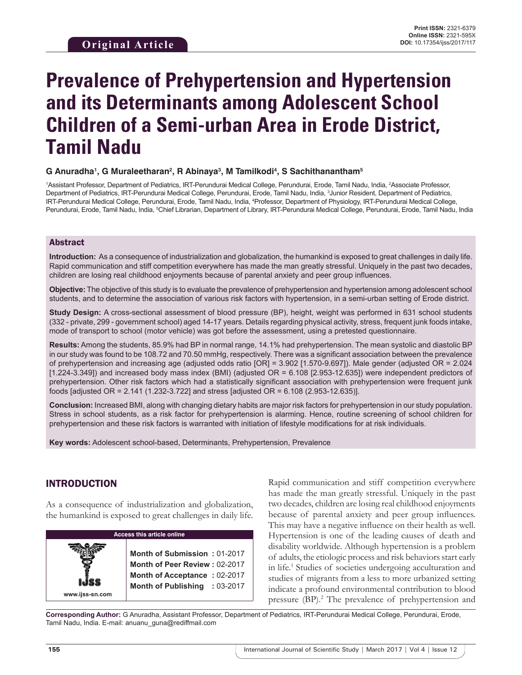# **Prevalence of Prehypertension and Hypertension and its Determinants among Adolescent School Children of a Semi-urban Area in Erode District, Tamil Nadu**

## **G Anuradha1 , G Muraleetharan2 , R Abinaya3 , M Tamilkodi4 , S Sachithanantham5**

1Assistant Professor, Department of Pediatrics, IRT-Perundurai Medical College, Perundurai, Erode, Tamil Nadu, India, 2Associate Professor, Department of Pediatrics, IRT-Perundurai Medical College, Perundurai, Erode, Tamil Nadu, India, <sup>3</sup>Junior Resident, Department of Pediatrics, IRT-Perundurai Medical College, Perundurai, Erode, Tamil Nadu, India, 4 Professor, Department of Physiology, IRT-Perundurai Medical College, Perundurai, Erode, Tamil Nadu, India, <sup>s</sup>Chief Librarian, Department of Library, IRT-Perundurai Medical College, Perundurai, Erode, Tamil Nadu, India

#### Abstract

**Introduction:** As a consequence of industrialization and globalization, the humankind is exposed to great challenges in daily life. Rapid communication and stiff competition everywhere has made the man greatly stressful. Uniquely in the past two decades, children are losing real childhood enjoyments because of parental anxiety and peer group influences.

**Objective:** The objective of this study is to evaluate the prevalence of prehypertension and hypertension among adolescent school students, and to determine the association of various risk factors with hypertension, in a semi-urban setting of Erode district.

**Study Design:** A cross-sectional assessment of blood pressure (BP), height, weight was performed in 631 school students (332 - private, 299 - government school) aged 14-17 years. Details regarding physical activity, stress, frequent junk foods intake, mode of transport to school (motor vehicle) was got before the assessment, using a pretested questionnaire.

**Results:** Among the students, 85.9% had BP in normal range, 14.1% had prehypertension. The mean systolic and diastolic BP in our study was found to be 108.72 and 70.50 mmHg, respectively. There was a significant association between the prevalence of prehypertension and increasing age (adjusted odds ratio [OR] = 3.902 [1.570-9.697]). Male gender (adjusted OR = 2.024 [1.224-3.349]) and increased body mass index (BMI) (adjusted OR = 6.108 [2.953-12.635]) were independent predictors of prehypertension. Other risk factors which had a statistically significant association with prehypertension were frequent junk foods [adjusted OR = 2.141 (1.232-3.722] and stress [adjusted OR = 6.108 (2.953-12.635)].

**Conclusion:** Increased BMI, along with changing dietary habits are major risk factors for prehypertension in our study population. Stress in school students, as a risk factor for prehypertension is alarming. Hence, routine screening of school children for prehypertension and these risk factors is warranted with initiation of lifestyle modifications for at risk individuals.

**Key words:** Adolescent school-based, Determinants, Prehypertension, Prevalence

## INTRODUCTION

As a consequence of industrialization and globalization, the humankind is exposed to great challenges in daily life.

| <b>Access this article online</b> |                                                                                                                                |  |  |
|-----------------------------------|--------------------------------------------------------------------------------------------------------------------------------|--|--|
| www.ijss-sn.com                   | Month of Submission: 01-2017<br>Month of Peer Review: 02-2017<br>Month of Acceptance: 02-2017<br>Month of Publishing : 03-2017 |  |  |

Rapid communication and stiff competition everywhere has made the man greatly stressful. Uniquely in the past two decades, children are losing real childhood enjoyments because of parental anxiety and peer group influences. This may have a negative influence on their health as well. Hypertension is one of the leading causes of death and disability worldwide. Although hypertension is a problem of adults, the etiologic process and risk behaviors start early in life.<sup>1</sup> Studies of societies undergoing acculturation and studies of migrants from a less to more urbanized setting indicate a profound environmental contribution to blood pressure (BP).<sup>2</sup> The prevalence of prehypertension and

**Corresponding Author:** G Anuradha, Assistant Professor, Department of Pediatrics, IRT-Perundurai Medical College, Perundurai, Erode, Tamil Nadu, India. E-mail: anuanu\_guna@rediffmail.com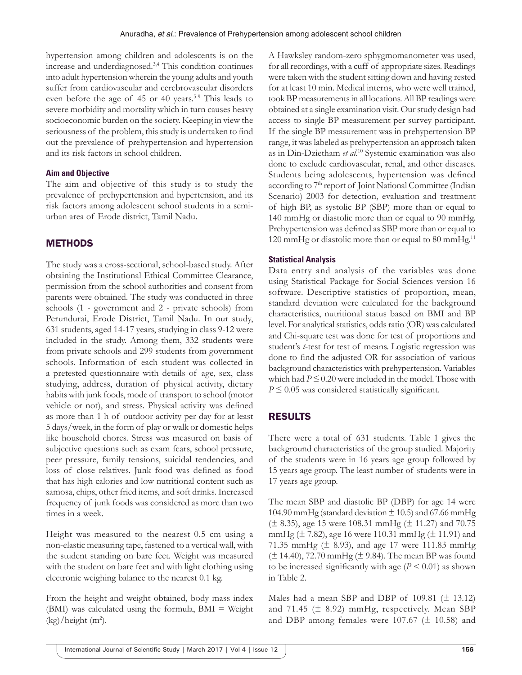hypertension among children and adolescents is on the increase and underdiagnosed.3,4 This condition continues into adult hypertension wherein the young adults and youth suffer from cardiovascular and cerebrovascular disorders even before the age of 45 or 40 years.<sup>5-9</sup> This leads to severe morbidity and mortality which in turn causes heavy socioeconomic burden on the society. Keeping in view the seriousness of the problem, this study is undertaken to find out the prevalence of prehypertension and hypertension and its risk factors in school children.

## **Aim and Objective**

The aim and objective of this study is to study the prevalence of prehypertension and hypertension, and its risk factors among adolescent school students in a semiurban area of Erode district, Tamil Nadu.

## METHODS

The study was a cross-sectional, school-based study. After obtaining the Institutional Ethical Committee Clearance, permission from the school authorities and consent from parents were obtained. The study was conducted in three schools (1 - government and 2 - private schools) from Perundurai, Erode District, Tamil Nadu. In our study, 631 students, aged 14-17 years, studying in class 9-12 were included in the study. Among them, 332 students were from private schools and 299 students from government schools. Information of each student was collected in a pretested questionnaire with details of age, sex, class studying, address, duration of physical activity, dietary habits with junk foods, mode of transport to school (motor vehicle or not), and stress. Physical activity was defined as more than 1 h of outdoor activity per day for at least 5 days/week, in the form of play or walk or domestic helps like household chores. Stress was measured on basis of subjective questions such as exam fears, school pressure, peer pressure, family tensions, suicidal tendencies, and loss of close relatives. Junk food was defined as food that has high calories and low nutritional content such as samosa, chips, other fried items, and soft drinks. Increased frequency of junk foods was considered as more than two times in a week.

Height was measured to the nearest 0.5 cm using a non-elastic measuring tape, fastened to a vertical wall, with the student standing on bare feet. Weight was measured with the student on bare feet and with light clothing using electronic weighing balance to the nearest 0.1 kg.

From the height and weight obtained, body mass index (BMI) was calculated using the formula,  $BMI = Weight$  $(kg)/height$  (m<sup>2</sup>).

A Hawksley random-zero sphygmomanometer was used, for all recordings, with a cuff of appropriate sizes. Readings were taken with the student sitting down and having rested for at least 10 min. Medical interns, who were well trained, took BP measurements in all locations. All BP readings were obtained at a single examination visit. Our study design had access to single BP measurement per survey participant. If the single BP measurement was in prehypertension BP range, it was labeled as prehypertension an approach taken as in Din-Dzietham *et al*. 10 Systemic examination was also done to exclude cardiovascular, renal, and other diseases. Students being adolescents, hypertension was defined according to 7<sup>th</sup> report of Joint National Committee (Indian Scenario) 2003 for detection, evaluation and treatment of high BP, as systolic BP (SBP) more than or equal to 140 mmHg or diastolic more than or equal to 90 mmHg. Prehypertension was defined as SBP more than or equal to 120 mmHg or diastolic more than or equal to 80 mmHg.<sup>11</sup>

## **Statistical Analysis**

Data entry and analysis of the variables was done using Statistical Package for Social Sciences version 16 software. Descriptive statistics of proportion, mean, standard deviation were calculated for the background characteristics, nutritional status based on BMI and BP level. For analytical statistics, odds ratio (OR) was calculated and Chi-square test was done for test of proportions and student's *t*-test for test of means. Logistic regression was done to find the adjusted OR for association of various background characteristics with prehypertension. Variables which had  $P \le 0.20$  were included in the model. Those with *P* ≤ 0.05 was considered statistically significant.

# RESULTS

There were a total of 631 students. Table 1 gives the background characteristics of the group studied. Majority of the students were in 16 years age group followed by 15 years age group. The least number of students were in 17 years age group.

The mean SBP and diastolic BP (DBP) for age 14 were 104.90 mmHg (standard deviation  $\pm$  10.5) and 67.66 mmHg  $(\pm 8.35)$ , age 15 were 108.31 mmHg ( $\pm$  11.27) and 70.75 mmHg (± 7.82), age 16 were 110.31 mmHg (± 11.91) and 71.35 mmHg ( $\pm$  8.93), and age 17 were 111.83 mmHg  $(\pm 14.40)$ , 72.70 mmHg ( $\pm$  9.84). The mean BP was found to be increased significantly with age  $(P < 0.01)$  as shown in Table 2.

Males had a mean SBP and DBP of 109.81 (± 13.12) and 71.45  $(\pm 8.92)$  mmHg, respectively. Mean SBP and DBP among females were 107.67 ( $\pm$  10.58) and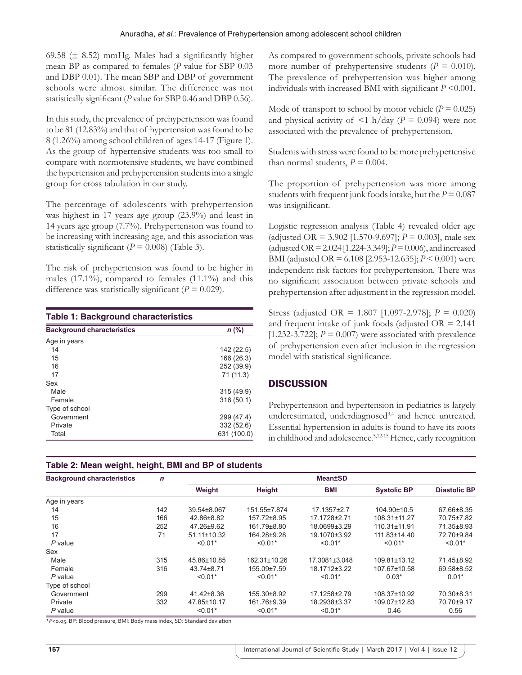69.58 ( $\pm$  8.52) mmHg. Males had a significantly higher mean BP as compared to females (*P* value for SBP 0.03 and DBP 0.01). The mean SBP and DBP of government schools were almost similar. The difference was not statistically significant (*P* value for SBP 0.46 and DBP 0.56).

In this study, the prevalence of prehypertension was found to be 81 (12.83%) and that of hypertension was found to be 8 (1.26%) among school children of ages 14-17 (Figure 1). As the group of hypertensive students was too small to compare with normotensive students, we have combined the hypertension and prehypertension students into a single group for cross tabulation in our study.

The percentage of adolescents with prehypertension was highest in 17 years age group (23.9%) and least in 14 years age group (7.7%). Prehypertension was found to be increasing with increasing age, and this association was statistically significant  $(P = 0.008)$  (Table 3).

The risk of prehypertension was found to be higher in males  $(17.1\%)$ , compared to females  $(11.1\%)$  and this difference was statistically significant ( $P = 0.029$ ).

| <b>Table 1: Background characteristics</b> |             |  |  |  |
|--------------------------------------------|-------------|--|--|--|
| <b>Background characteristics</b>          | $n$ (%)     |  |  |  |
| Age in years                               |             |  |  |  |
| 14                                         | 142 (22.5)  |  |  |  |
| 15                                         | 166 (26.3)  |  |  |  |
| 16                                         | 252 (39.9)  |  |  |  |
| 17                                         | 71 (11.3)   |  |  |  |
| Sex                                        |             |  |  |  |
| Male                                       | 315 (49.9)  |  |  |  |
| Female                                     | 316 (50.1)  |  |  |  |
| Type of school                             |             |  |  |  |
| Government                                 | 299 (47.4)  |  |  |  |
| Private                                    | 332 (52.6)  |  |  |  |
| Total                                      | 631 (100.0) |  |  |  |

# **Table 2: Mean weight, height, BMI and BP of students**

As compared to government schools, private schools had more number of prehypertensive students  $(P = 0.010)$ . The prevalence of prehypertension was higher among individuals with increased BMI with significant *P* <0.001.

Mode of transport to school by motor vehicle  $(P = 0.025)$ and physical activity of  $\langle 1 \text{ h}/\text{day} \rangle$  (*P* = 0.094) were not associated with the prevalence of prehypertension.

Students with stress were found to be more prehypertensive than normal students,  $P = 0.004$ .

The proportion of prehypertension was more among students with frequent junk foods intake, but the  $P = 0.087$ was insignificant.

Logistic regression analysis (Table 4) revealed older age (adjusted OR = 3.902 [1.570-9.697]; *P* = 0.003], male sex (adjusted OR = 2.024 [1.224-3.349]; *P* = 0.006), and increased BMI (adjusted OR = 6.108 [2.953-12.635]; *P* < 0.001) were independent risk factors for prehypertension. There was no significant association between private schools and prehypertension after adjustment in the regression model.

Stress (adjusted OR = 1.807 [1.097-2.978]; *P* = 0.020) and frequent intake of junk foods (adjusted  $OR = 2.141$ ) [1.232-3.722];  $P = 0.007$ ) were associated with prevalence of prehypertension even after inclusion in the regression model with statistical significance.

## **DISCUSSION**

Prehypertension and hypertension in pediatrics is largely underestimated, underdiagnosed<sup>3,4</sup> and hence untreated. Essential hypertension in adults is found to have its roots in childhood and adolescence.<sup>5,12-15</sup> Hence, early recognition

| <b>Background characteristics</b> | $\mathsf{n}$ | <b>Mean±SD</b>    |               |               |                    |                     |
|-----------------------------------|--------------|-------------------|---------------|---------------|--------------------|---------------------|
|                                   |              | Weight            | <b>Height</b> | <b>BMI</b>    | <b>Systolic BP</b> | <b>Diastolic BP</b> |
| Age in years                      |              |                   |               |               |                    |                     |
| 14                                | 142          | 39.54±8.067       | 151.55±7.874  | 17.1357±2.7   | 104.90±10.5        | 67.66±8.35          |
| 15                                | 166          | 42.86±8.82        | 157.72±8.95   | 17.1728±2.71  | $108.31 \pm 11.27$ | 70.75±7.82          |
| 16                                | 252          | 47.26±9.62        | 161.79±8.80   | 18.0699±3.29  | 110.31±11.91       | 71.35±8.93          |
| 17                                | 71           | $51.11 \pm 10.32$ | 164.28±9.28   | 19.1070±3.92  | 111.83±14.40       | 72.70±9.84          |
| $P$ value                         |              | $< 0.01*$         | $< 0.01*$     | $< 0.01*$     | $< 0.01*$          | $< 0.01*$           |
| Sex                               |              |                   |               |               |                    |                     |
| Male                              | 315          | 45.86±10.85       | 162.31±10.26  | 17.3081±3.048 | 109.81±13.12       | 71.45±8.92          |
| Female                            | 316          | 43.74±8.71        | 155.09±7.59   | 18.1712±3.22  | 107.67±10.58       | 69.58±8.52          |
| P value                           |              | $< 0.01*$         | $< 0.01*$     | $< 0.01*$     | $0.03*$            | $0.01*$             |
| Type of school                    |              |                   |               |               |                    |                     |
| Government                        | 299          | 41.42±8.36        | 155.30±8.92   | 17.1258±2.79  | 108.37±10.92       | 70.30±8.31          |
| Private                           | 332          | 47.85±10.17       | 161.76±9.39   | 18.2938±3.37  | 109.07±12.83       | 70.70±9.17          |
| P value                           |              | $< 0.01*$         | $< 0.01*$     | $< 0.01*$     | 0.46               | 0.56                |

\**P*<0.05. BP: Blood pressure, BMI: Body mass index, SD: Standard deviation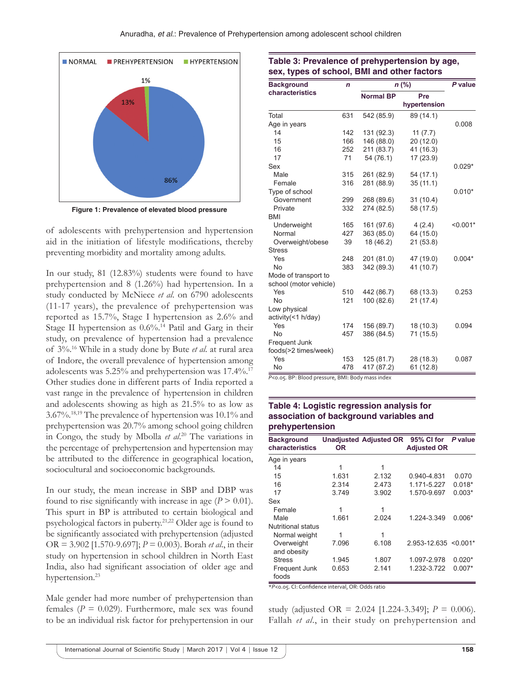

**Figure 1: Prevalence of elevated blood pressure**

of adolescents with prehypertension and hypertension aid in the initiation of lifestyle modifications, thereby preventing morbidity and mortality among adults.

In our study, 81 (12.83%) students were found to have prehypertension and 8 (1.26%) had hypertension. In a study conducted by McNiece *et al*. on 6790 adolescents (11-17 years), the prevalence of prehypertension was reported as 15.7%, Stage I hypertension as 2.6% and Stage II hypertension as  $0.6\%$ .<sup>14</sup> Patil and Garg in their study, on prevalence of hypertension had a prevalence of 3%.16 While in a study done by Bute *et al*. at rural area of Indore, the overall prevalence of hypertension among adolescents was 5.25% and prehypertension was 17.4%.17 Other studies done in different parts of India reported a vast range in the prevalence of hypertension in children and adolescents showing as high as 21.5% to as low as 3.67%.18,19 The prevalence of hypertension was 10.1% and prehypertension was 20.7% among school going children in Congo, the study by Mbolla *et al*. 20 The variations in the percentage of prehypertension and hypertension may be attributed to the difference in geographical location, sociocultural and socioeconomic backgrounds.

In our study, the mean increase in SBP and DBP was found to rise significantly with increase in age  $(P > 0.01)$ . This spurt in BP is attributed to certain biological and psychological factors in puberty.21,22 Older age is found to be significantly associated with prehypertension (adjusted OR = 3.902 [1.570-9.697]; *P* = 0.003). Borah *et al*., in their study on hypertension in school children in North East India, also had significant association of older age and hypertension.<sup>23</sup>

Male gender had more number of prehypertension than females ( $P = 0.029$ ). Furthermore, male sex was found to be an individual risk factor for prehypertension in our

#### **Table 3: Prevalence of prehypertension by age, sex, types of school, BMI and other factors**

| <b>Background</b>      | n   | $n$ (%)          | P value      |            |
|------------------------|-----|------------------|--------------|------------|
| characteristics        |     | <b>Normal BP</b> | Pre          |            |
|                        |     |                  | hypertension |            |
| Total                  | 631 | 542 (85.9)       | 89 (14.1)    |            |
| Age in years           |     |                  |              | 0.008      |
| 14                     | 142 | 131 (92.3)       | 11(7.7)      |            |
| 15                     | 166 | 146 (88.0)       | 20 (12.0)    |            |
| 16                     | 252 | 211 (83.7)       | 41 (16.3)    |            |
| 17                     | 71  | 54 (76.1)        | 17(23.9)     |            |
| Sex                    |     |                  |              | $0.029*$   |
| Male                   | 315 | 261 (82.9)       | 54 (17.1)    |            |
| Female                 | 316 | 281 (88.9)       | 35(11.1)     |            |
| Type of school         |     |                  |              | $0.010*$   |
| Government             | 299 | 268 (89.6)       | 31(10.4)     |            |
| Private                | 332 | 274 (82.5)       | 58 (17.5)    |            |
| <b>BMI</b>             |     |                  |              |            |
| Underweight            | 165 | 161 (97.6)       | 4(2.4)       | $< 0.001*$ |
| Normal                 | 427 | 363 (85.0)       | 64 (15.0)    |            |
| Overweight/obese       | 39  | 18 (46.2)        | 21(53.8)     |            |
| <b>Stress</b>          |     |                  |              |            |
| Yes                    | 248 | 201 (81.0)       | 47 (19.0)    | $0.004*$   |
| <b>No</b>              | 383 | 342 (89.3)       | 41 (10.7)    |            |
| Mode of transport to   |     |                  |              |            |
| school (motor vehicle) |     |                  |              |            |
| Yes                    | 510 | 442 (86.7)       | 68 (13.3)    | 0.253      |
| <b>No</b>              | 121 | 100 (82.6)       | 21(17.4)     |            |
| Low physical           |     |                  |              |            |
| activity(<1 h/day)     |     |                  |              |            |
| Yes                    | 174 | 156 (89.7)       | 18 (10.3)    | 0.094      |
| <b>No</b>              | 457 | 386 (84.5)       | 71 (15.5)    |            |
| Frequent Junk          |     |                  |              |            |
| foods(>2 times/week)   |     |                  |              |            |
| Yes                    | 153 | 125 (81.7)       | 28 (18.3)    | 0.087      |
| No                     | 478 | 417 (87.2)       | 61(12.8)     |            |

*P*<0.05. BP: Blood pressure, BMI: Body mass index

## **Table 4: Logistic regression analysis for association of background variables and prehypertension**

| <b>Background</b><br>characteristics | OR.   | <b>Unadjusted Adjusted OR</b> | 95% CI for<br><b>Adjusted OR</b> | P value  |
|--------------------------------------|-------|-------------------------------|----------------------------------|----------|
| Age in years                         |       |                               |                                  |          |
| 14                                   | 1     | 1                             |                                  |          |
| 15                                   | 1.631 | 2.132                         | 0.940-4.831                      | 0.070    |
| 16                                   | 2.314 | 2.473                         | 1.171-5.227                      | $0.018*$ |
| 17                                   | 3.749 | 3.902                         | 1.570-9.697                      | $0.003*$ |
| Sex                                  |       |                               |                                  |          |
| Female                               | 1     | 1                             |                                  |          |
| Male                                 | 1.661 | 2.024                         | 1.224-3.349                      | $0.006*$ |
| Nutritional status                   |       |                               |                                  |          |
| Normal weight                        | 1     | 1                             |                                  |          |
| Overweight<br>and obesity            | 7.096 | 6.108                         | $2.953 - 12.635 \le 0.001$ *     |          |
| <b>Stress</b>                        | 1.945 | 1.807                         | 1.097-2.978                      | $0.020*$ |
| Frequent Junk<br>foods               | 0.653 | 2.141                         | 1.232-3.722                      | $0.007*$ |

\**P*<0.05. CI: Confidence interval, OR: Odds ratio

study (adjusted OR = 2.024 [1.224-3.349]; *P* = 0.006). Fallah *et al*., in their study on prehypertension and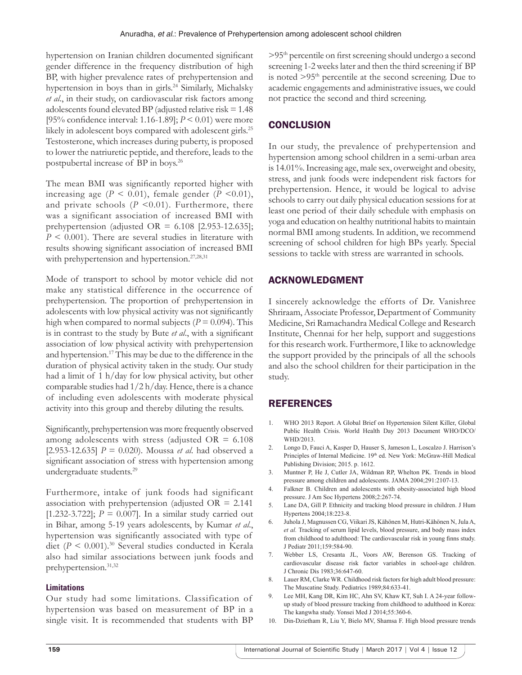hypertension on Iranian children documented significant gender difference in the frequency distribution of high BP, with higher prevalence rates of prehypertension and hypertension in boys than in girls.<sup>24</sup> Similarly, Michalsky *et al*., in their study, on cardiovascular risk factors among adolescents found elevated BP (adjusted relative risk = 1.48 [95% confidence interval: 1.16-1.89]; *P* < 0.01) were more likely in adolescent boys compared with adolescent girls.<sup>25</sup> Testosterone, which increases during puberty, is proposed to lower the natriuretic peptide, and therefore, leads to the postpubertal increase of BP in boys.26

The mean BMI was significantly reported higher with increasing age  $(P < 0.01)$ , female gender  $(P < 0.01)$ , and private schools  $(P \le 0.01)$ . Furthermore, there was a significant association of increased BMI with prehypertension (adjusted OR =  $6.108$  [2.953-12.635]; *P* < 0.001). There are several studies in literature with results showing significant association of increased BMI with prehypertension and hypertension.<sup>27,28,31</sup>

Mode of transport to school by motor vehicle did not make any statistical difference in the occurrence of prehypertension. The proportion of prehypertension in adolescents with low physical activity was not significantly high when compared to normal subjects  $(P = 0.094)$ . This is in contrast to the study by Bute *et al*., with a significant association of low physical activity with prehypertension and hypertension.17 This may be due to the difference in the duration of physical activity taken in the study. Our study had a limit of 1 h/day for low physical activity, but other comparable studies had  $1/2 h/day$ . Hence, there is a chance of including even adolescents with moderate physical activity into this group and thereby diluting the results.

Significantly, prehypertension was more frequently observed among adolescents with stress (adjusted  $OR = 6.108$ ) [2.953-12.635] *P* = 0.020). Moussa *et al*. had observed a significant association of stress with hypertension among undergraduate students.<sup>29</sup>

Furthermore, intake of junk foods had significant association with prehypertension (adjusted  $OR = 2.141$ ) [1.232-3.722];  $P = 0.007$ ]. In a similar study carried out in Bihar, among 5-19 years adolescents, by Kumar *et al*., hypertension was significantly associated with type of diet  $(P \le 0.001)$ .<sup>30</sup> Several studies conducted in Kerala also had similar associations between junk foods and prehypertension.31,32

#### **Limitations**

Our study had some limitations. Classification of hypertension was based on measurement of BP in a single visit. It is recommended that students with BP >95th percentile on first screening should undergo a second screening 1-2 weeks later and then the third screening if BP is noted >95<sup>th</sup> percentile at the second screening. Due to academic engagements and administrative issues, we could not practice the second and third screening.

## **CONCLUSION**

In our study, the prevalence of prehypertension and hypertension among school children in a semi-urban area is 14.01%. Increasing age, male sex, overweight and obesity, stress, and junk foods were independent risk factors for prehypertension. Hence, it would be logical to advise schools to carry out daily physical education sessions for at least one period of their daily schedule with emphasis on yoga and education on healthy nutritional habits to maintain normal BMI among students. In addition, we recommend screening of school children for high BPs yearly. Special sessions to tackle with stress are warranted in schools.

## ACKNOWLEDGMENT

I sincerely acknowledge the efforts of Dr. Vanishree Shriraam, Associate Professor, Department of Community Medicine, Sri Ramachandra Medical College and Research Institute, Chennai for her help, support and suggestions for this research work. Furthermore, I like to acknowledge the support provided by the principals of all the schools and also the school children for their participation in the study.

#### REFERENCES

- 1. WHO 2013 Report. A Global Brief on Hypertension Silent Killer, Global Public Health Crisis. World Health Day 2013 Document WHO/DCO/ WHD/2013.
- 2. Longo D, Fauci A, Kasper D, Hauser S, Jameson L, Loscalzo J. Harrison's Principles of Internal Medicine. 19th ed. New York: McGraw-Hill Medical Publishing Division; 2015. p. 1612.
- 3. Muntner P, He J, Cutler JA, Wildman RP, Whelton PK. Trends in blood pressure among children and adolescents. JAMA 2004;291:2107-13.
- 4. Falkner B. Children and adolescents with obesity-associated high blood pressure. J Am Soc Hypertens 2008;2:267-74.
- 5. Lane DA, Gill P. Ethnicity and tracking blood pressure in children. J Hum Hypertens 2004;18:223-8.
- 6. Juhola J, Magnussen CG, Viikari JS, Kähönen M, Hutri-Kähönen N, Jula A, *et al.* Tracking of serum lipid levels, blood pressure, and body mass index from childhood to adulthood: The cardiovascular risk in young finns study. J Pediatr 2011;159:584-90.
- 7. Webber LS, Cresanta JL, Voors AW, Berenson GS. Tracking of cardiovascular disease risk factor variables in school-age children. J Chronic Dis 1983;36:647-60.
- 8. Lauer RM, Clarke WR. Childhood risk factors for high adult blood pressure: The Muscatine Study. Pediatrics 1989;84:633-41.
- Lee MH, Kang DR, Kim HC, Ahn SV, Khaw KT, Suh I. A 24-year followup study of blood pressure tracking from childhood to adulthood in Korea: The kangwha study. Yonsei Med J 2014;55:360-6.
- 10. Din-Dzietham R, Liu Y, Bielo MV, Shamsa F. High blood pressure trends